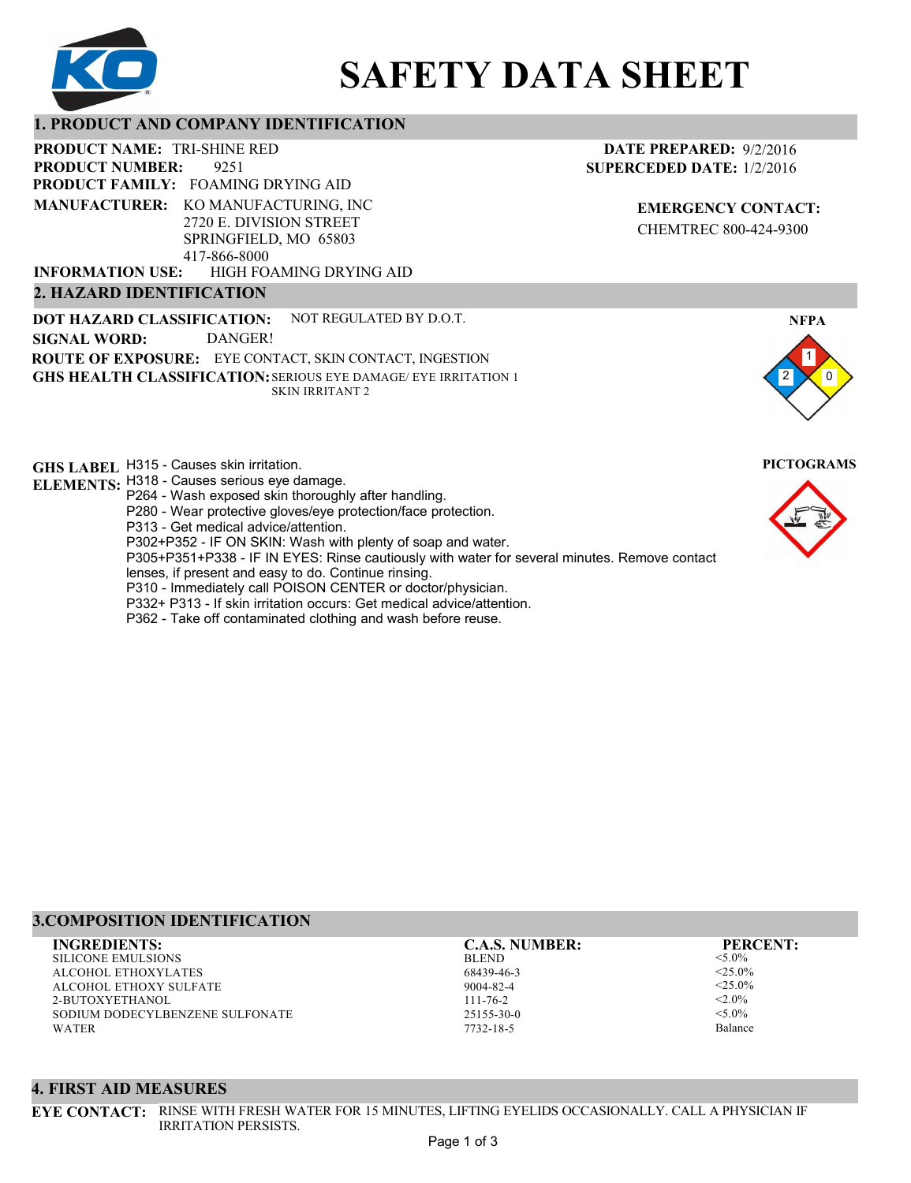

# **SAFETY DATA SHEET**

# **1. PRODUCT AND COMPANY IDENTIFICATION**

9251 PRODUCT NAME: TRI-SHINE RED **PRODUCT FAMILY: FOAMING DRYING AID** HIGH FOAMING DRYING AID **PRODUCT NUMBER: MANUFACTURER:** KO MANUFACTURING, INC 2720 E. DIVISION STREET SPRINGFIELD, MO 65803 417-866-8000 **INFORMATION USE:**

# **2. HAZARD IDENTIFICATION**

**DOT HAZARD CLASSIFICATION: GHS HEALTH CLASSIFICATION:** SERIOUS EYE DAMAGE/ EYE IRRITATION 1 **ROUTE OF EXPOSURE:** EYE CONTACT, SKIN CONTACT, INGESTION NOT REGULATED BY D.O.T. SKIN IRRITANT 2 **SIGNAL WORD:** DANGER!

**GHS LABEL**  H315 - Causes skin irritation. **PICTOGRAMS**

- **ELEMENTS:** H318 Causes serious eye damage.
	- P264 Wash exposed skin thoroughly after handling.
	- P280 Wear protective gloves/eye protection/face protection.
	- P313 Get medical advice/attention.
	- P302+P352 IF ON SKIN: Wash with plenty of soap and water.

P305+P351+P338 - IF IN EYES: Rinse cautiously with water for several minutes. Remove contact

- lenses, if present and easy to do. Continue rinsing.
- P310 Immediately call POISON CENTER or doctor/physician.
- P332+ P313 If skin irritation occurs: Get medical advice/attention.
- P362 Take off contaminated clothing and wash before reuse.

# **DATE PREPARED:** 9/2/2016 **SUPERCEDED DATE:** 1/2/2016

**EMERGENCY CONTACT:** CHEMTREC 800-424-9300



# **3.COMPOSITION IDENTIFICATION**

SILICONE EMULSIONS ALCOHOL ETHOXYLATES ALCOHOL ETHOXY SULFATE 2-BUTOXYETHANOL SODIUM DODECYLBENZENE SULFONATE WATER

BLEND 68439-46-3 9004-82-4 111-76-2 25155-30-0 **INGREDIENTS: C.A.S. NUMBER: PERCENT:**

7732-18-5

<5.0%  $<$ 25.0%  $<$ 25.0%  $< 2.0\%$  $< 5.0\%$ Balance

### **4. FIRST AID MEASURES**

**EYE CONTACT:** RINSE WITH FRESH WATER FOR 15 MINUTES, LIFTING EYELIDS OCCASIONALLY. CALL A PHYSICIAN IF IRRITATION PERSISTS.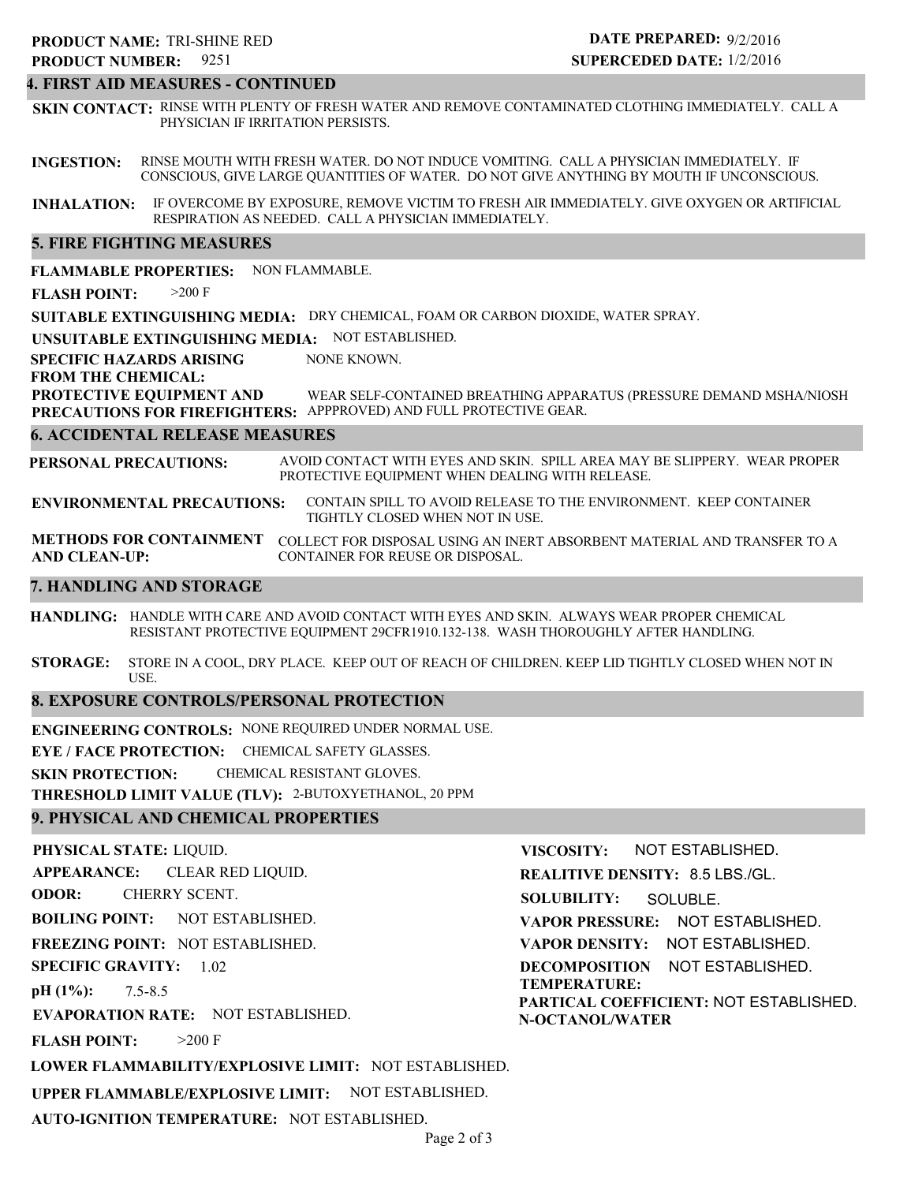#### **4. FIRST AID MEASURES - CONTINUED**

**INGESTION: INHALATION:** IF OVERCOME BY EXPOSURE, REMOVE VICTIM TO FRESH AIR IMMEDIATELY. GIVE OXYGEN OR ARTIFICIAL RESPIRATION AS NEEDED. CALL A PHYSICIAN IMMEDIATELY. RINSE MOUTH WITH FRESH WATER. DO NOT INDUCE VOMITING. CALL A PHYSICIAN IMMEDIATELY. IF CONSCIOUS, GIVE LARGE QUANTITIES OF WATER. DO NOT GIVE ANYTHING BY MOUTH IF UNCONSCIOUS. **SKIN CONTACT:** RINSE WITH PLENTY OF FRESH WATER AND REMOVE CONTAMINATED CLOTHING IMMEDIATELY. CALL A PHYSICIAN IF IRRITATION PERSISTS.

#### **5. FIRE FIGHTING MEASURES**

**FLAMMABLE PROPERTIES:** NON FLAMMABLE.

**FLASH POINT:** >200 F

**SUITABLE EXTINGUISHING MEDIA:** DRY CHEMICAL, FOAM OR CARBON DIOXIDE, WATER SPRAY.

**UNSUITABLE EXTINGUISHING MEDIA:** NOT ESTABLISHED.

**SPECIFIC HAZARDS ARISING** NONE KNOWN.

#### **FROM THE CHEMICAL:**

**PROTECTIVE EQUIPMENT AND PRECAUTIONS FOR FIREFIGHTERS:** APPPROVED) AND FULL PROTECTIVE GEAR. WEAR SELF-CONTAINED BREATHING APPARATUS (PRESSURE DEMAND MSHA/NIOSH

#### **6. ACCIDENTAL RELEASE MEASURES**

**PERSONAL PRECAUTIONS:** AVOID CONTACT WITH EYES AND SKIN. SPILL AREA MAY BE SLIPPERY. WEAR PROPER PROTECTIVE EQUIPMENT WHEN DEALING WITH RELEASE.

**ENVIRONMENTAL PRECAUTIONS:** CONTAIN SPILL TO AVOID RELEASE TO THE ENVIRONMENT. KEEP CONTAINER TIGHTLY CLOSED WHEN NOT IN USE.

**METHODS FOR CONTAINMENT** COLLECT FOR DISPOSAL USING AN INERT ABSORBENT MATERIAL AND TRANSFER TO A **AND CLEAN-UP:** CONTAINER FOR REUSE OR DISPOSAL.

#### **7. HANDLING AND STORAGE**

**HANDLING:** HANDLE WITH CARE AND AVOID CONTACT WITH EYES AND SKIN. ALWAYS WEAR PROPER CHEMICAL RESISTANT PROTECTIVE EQUIPMENT 29CFR1910.132-138. WASH THOROUGHLY AFTER HANDLING.

**STORAGE:** STORE IN A COOL, DRY PLACE. KEEP OUT OF REACH OF CHILDREN. KEEP LID TIGHTLY CLOSED WHEN NOT IN USE.

#### **8. EXPOSURE CONTROLS/PERSONAL PROTECTION**

**ENGINEERING CONTROLS:** NONE REQUIRED UNDER NORMAL USE.

**EYE / FACE PROTECTION:** CHEMICAL SAFETY GLASSES.

**SKIN PROTECTION:** CHEMICAL RESISTANT GLOVES.

**THRESHOLD LIMIT VALUE (TLV):** 2-BUTOXYETHANOL, 20 PPM

#### **9. PHYSICAL AND CHEMICAL PROPERTIES**

**PHYSICAL STATE:** LIQUID. **APPEARANCE: ODOR: BOILING POINT:** NOT ESTABLISHED. **FREEZING POINT:** NOT ESTABLISHED. **SPECIFIC GRAVITY:** 1.02 **pH (1%): EVAPORATION RATE:** NOT ESTABLISHED. **FLASH POINT: LOWER FLAMMABILITY/EXPLOSIVE LIMIT:** NOT ESTABLISHED. **UPPER FLAMMABLE/EXPLOSIVE LIMIT:** NOT ESTABLISHED. 7.5-8.5  $>200$  F CLEAR RED LIQUID. CHERRY SCENT. **VISCOSITY: REALITIVE DENSITY:** 8.5 LBS./GL. **SOLUBILITY: VAPOR PRESSURE:** NOT ESTABLISHED. **VAPOR DENSITY:** NOT ESTABLISHED. **DECOMPOSITION** NOT ESTABLISHED. **TEMPERATURE: PARTICAL COEFFICIENT:** NOT ESTABLISHED. **N-OCTANOL/WATER** NOT ESTABLISHED. SOLUBLE.

**AUTO-IGNITION TEMPERATURE:** NOT ESTABLISHED.